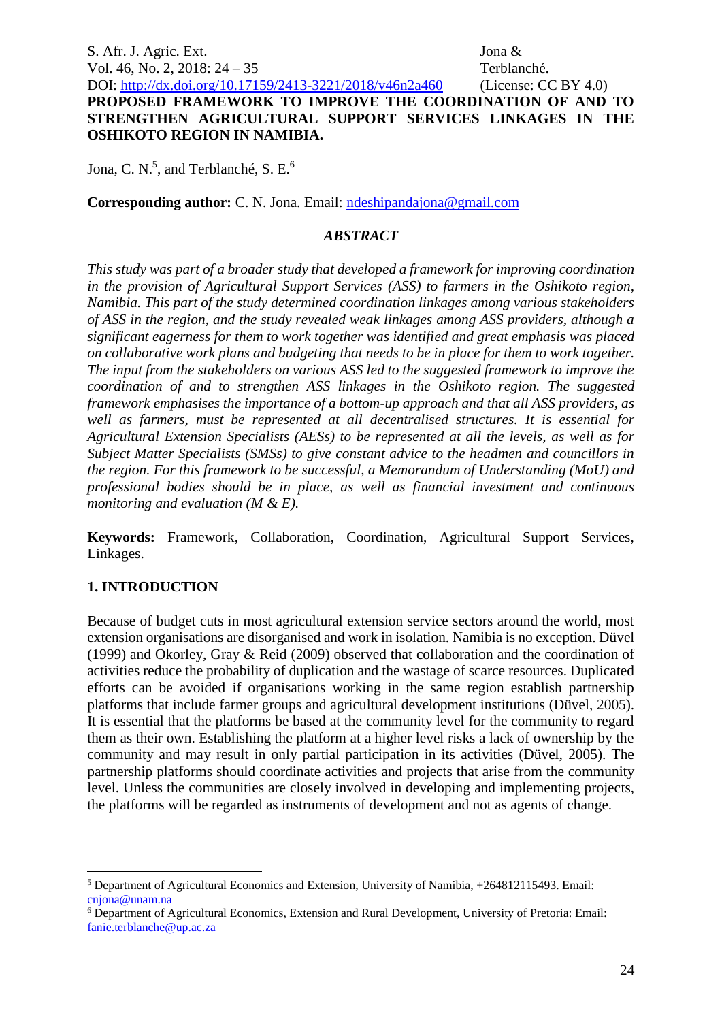S. Afr. J. Agric. Ext. Jona & Vol. 46, No. 2, 2018: 24 – 35 Terblanché.

#### DOI:<http://dx.doi.org/10.17159/2413-3221/2018/v46n2a460> (License: CC BY 4.0) **PROPOSED FRAMEWORK TO IMPROVE THE COORDINATION OF AND TO STRENGTHEN AGRICULTURAL SUPPORT SERVICES LINKAGES IN THE OSHIKOTO REGION IN NAMIBIA.**

Jona, C. N.<sup>5</sup>, and Terblanché, S. E.<sup>6</sup>

**Corresponding author:** C. N. Jona. Email: [ndeshipandajona@gmail.com](mailto:ndeshipandajona@gmail.com)

### *ABSTRACT*

*This study was part of a broader study that developed a framework for improving coordination in the provision of Agricultural Support Services (ASS) to farmers in the Oshikoto region, Namibia. This part of the study determined coordination linkages among various stakeholders of ASS in the region, and the study revealed weak linkages among ASS providers, although a significant eagerness for them to work together was identified and great emphasis was placed on collaborative work plans and budgeting that needs to be in place for them to work together. The input from the stakeholders on various ASS led to the suggested framework to improve the coordination of and to strengthen ASS linkages in the Oshikoto region. The suggested framework emphasises the importance of a bottom-up approach and that all ASS providers, as well as farmers, must be represented at all decentralised structures. It is essential for Agricultural Extension Specialists (AESs) to be represented at all the levels, as well as for Subject Matter Specialists (SMSs) to give constant advice to the headmen and councillors in the region. For this framework to be successful, a Memorandum of Understanding (MoU) and professional bodies should be in place, as well as financial investment and continuous monitoring and evaluation (M & E).* 

**Keywords:** Framework, Collaboration, Coordination, Agricultural Support Services, Linkages.

# **1. INTRODUCTION**

1

Because of budget cuts in most agricultural extension service sectors around the world, most extension organisations are disorganised and work in isolation. Namibia is no exception. Düvel (1999) and Okorley, Gray & Reid (2009) observed that collaboration and the coordination of activities reduce the probability of duplication and the wastage of scarce resources. Duplicated efforts can be avoided if organisations working in the same region establish partnership platforms that include farmer groups and agricultural development institutions (Düvel, 2005). It is essential that the platforms be based at the community level for the community to regard them as their own. Establishing the platform at a higher level risks a lack of ownership by the community and may result in only partial participation in its activities (Düvel, 2005). The partnership platforms should coordinate activities and projects that arise from the community level. Unless the communities are closely involved in developing and implementing projects, the platforms will be regarded as instruments of development and not as agents of change.

<sup>5</sup> Department of Agricultural Economics and Extension, University of Namibia, +264812115493. Email: [cnjona@unam.na](mailto:cnjona@unam.na) 

<sup>&</sup>lt;sup>6</sup> Department of Agricultural Economics, Extension and Rural Development, University of Pretoria: Email: [fanie.terblanche@up.ac.za](mailto:fanie.terblanche@up.ac.za)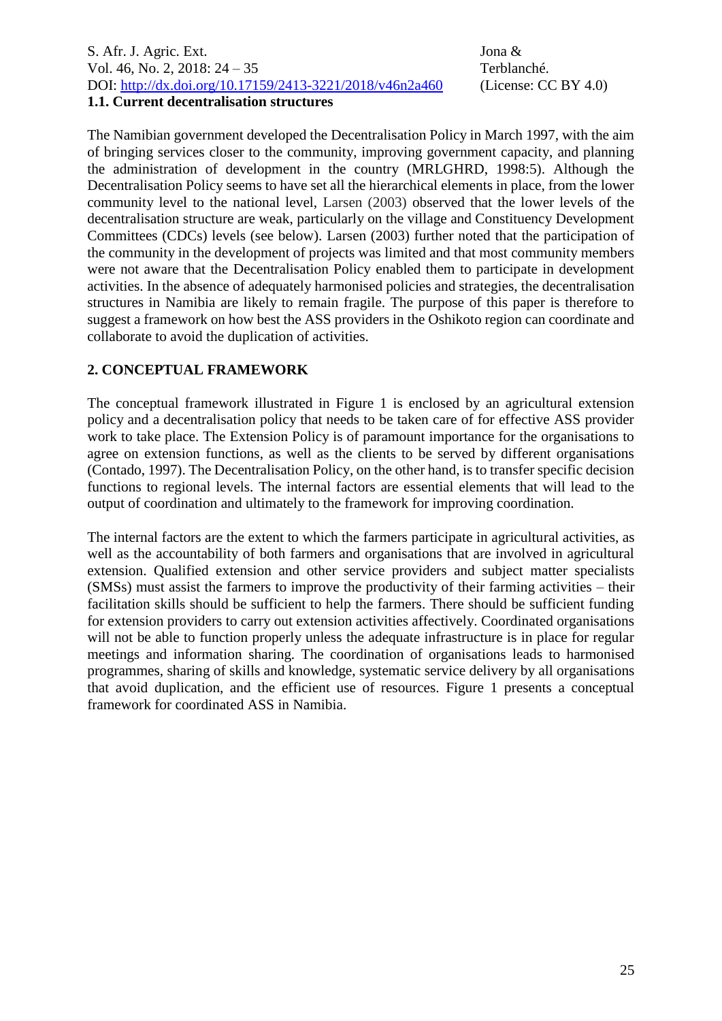S. Afr. J. Agric. Ext. Jona & Vol. 46, No. 2, 2018: 24 – 35 Terblanché. DOI:<http://dx.doi.org/10.17159/2413-3221/2018/v46n2a460> (License: CC BY 4.0) **1.1. Current decentralisation structures**

The Namibian government developed the Decentralisation Policy in March 1997, with the aim of bringing services closer to the community, improving government capacity, and planning the administration of development in the country (MRLGHRD, 1998:5). Although the Decentralisation Policy seems to have set all the hierarchical elements in place, from the lower community level to the national level, Larsen (2003) observed that the lower levels of the decentralisation structure are weak, particularly on the village and Constituency Development Committees (CDCs) levels (see below). Larsen (2003) further noted that the participation of the community in the development of projects was limited and that most community members were not aware that the Decentralisation Policy enabled them to participate in development activities. In the absence of adequately harmonised policies and strategies, the decentralisation structures in Namibia are likely to remain fragile. The purpose of this paper is therefore to suggest a framework on how best the ASS providers in the Oshikoto region can coordinate and collaborate to avoid the duplication of activities.

# **2. CONCEPTUAL FRAMEWORK**

The conceptual framework illustrated in Figure 1 is enclosed by an agricultural extension policy and a decentralisation policy that needs to be taken care of for effective ASS provider work to take place. The Extension Policy is of paramount importance for the organisations to agree on extension functions, as well as the clients to be served by different organisations (Contado, 1997). The Decentralisation Policy, on the other hand, is to transfer specific decision functions to regional levels. The internal factors are essential elements that will lead to the output of coordination and ultimately to the framework for improving coordination.

The internal factors are the extent to which the farmers participate in agricultural activities, as well as the accountability of both farmers and organisations that are involved in agricultural extension. Qualified extension and other service providers and subject matter specialists (SMSs) must assist the farmers to improve the productivity of their farming activities – their facilitation skills should be sufficient to help the farmers. There should be sufficient funding for extension providers to carry out extension activities affectively. Coordinated organisations will not be able to function properly unless the adequate infrastructure is in place for regular meetings and information sharing. The coordination of organisations leads to harmonised programmes, sharing of skills and knowledge, systematic service delivery by all organisations that avoid duplication, and the efficient use of resources. Figure 1 presents a conceptual framework for coordinated ASS in Namibia.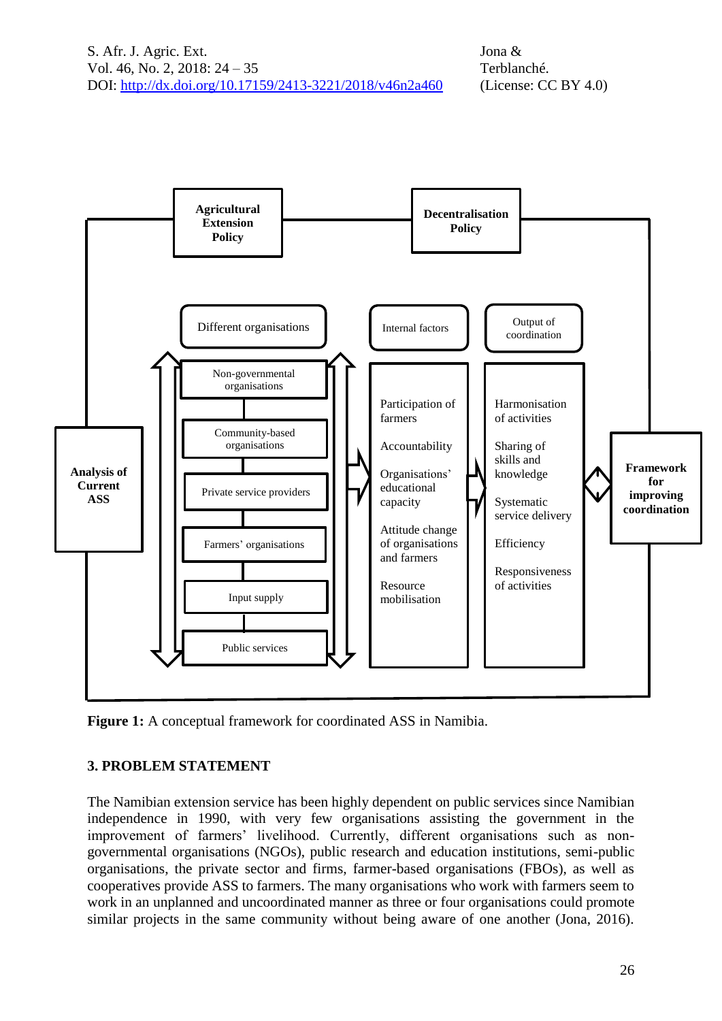

**Figure 1:** A conceptual framework for coordinated ASS in Namibia.

# **3. PROBLEM STATEMENT**

The Namibian extension service has been highly dependent on public services since Namibian independence in 1990, with very few organisations assisting the government in the improvement of farmers' livelihood. Currently, different organisations such as nongovernmental organisations (NGOs), public research and education institutions, semi-public organisations, the private sector and firms, farmer-based organisations (FBOs), as well as cooperatives provide ASS to farmers. The many organisations who work with farmers seem to work in an unplanned and uncoordinated manner as three or four organisations could promote similar projects in the same community without being aware of one another (Jona, 2016).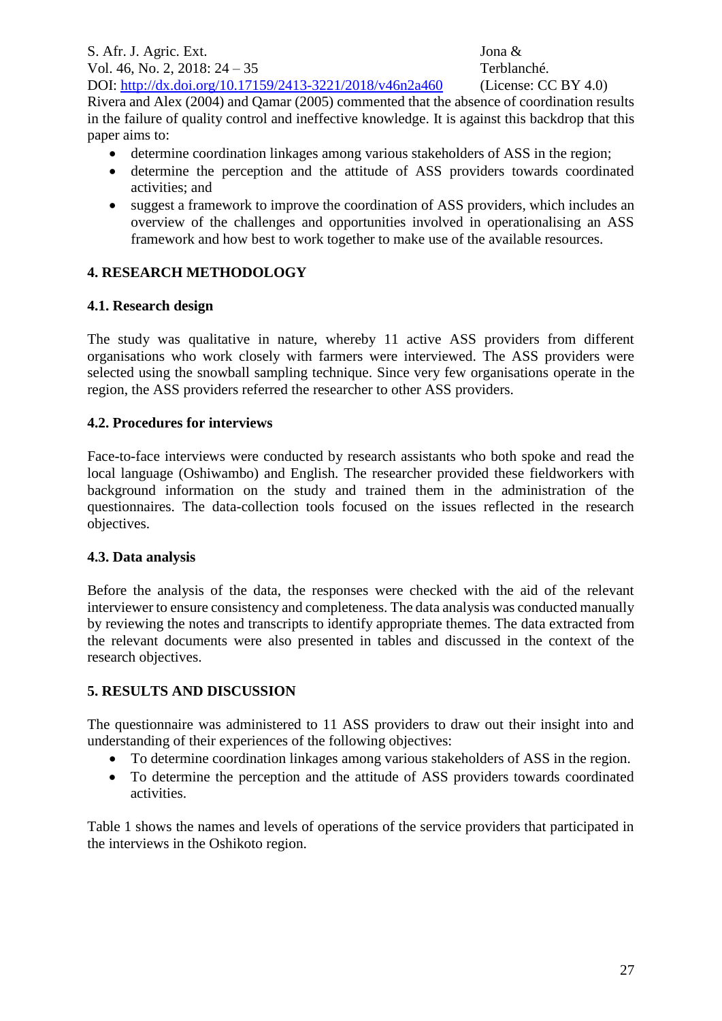S. Afr. J. Agric. Ext. Jona & Vol. 46, No. 2, 2018: 24 – 35 Terblanché. DOI:<http://dx.doi.org/10.17159/2413-3221/2018/v46n2a460> (License: CC BY 4.0)

Rivera and Alex (2004) and Qamar (2005) commented that the absence of coordination results in the failure of quality control and ineffective knowledge. It is against this backdrop that this paper aims to:

- determine coordination linkages among various stakeholders of ASS in the region;
- determine the perception and the attitude of ASS providers towards coordinated activities; and
- suggest a framework to improve the coordination of ASS providers, which includes an overview of the challenges and opportunities involved in operationalising an ASS framework and how best to work together to make use of the available resources.

# **4. RESEARCH METHODOLOGY**

### **4.1. Research design**

The study was qualitative in nature, whereby 11 active ASS providers from different organisations who work closely with farmers were interviewed. The ASS providers were selected using the snowball sampling technique. Since very few organisations operate in the region, the ASS providers referred the researcher to other ASS providers.

### **4.2. Procedures for interviews**

Face-to-face interviews were conducted by research assistants who both spoke and read the local language (Oshiwambo) and English. The researcher provided these fieldworkers with background information on the study and trained them in the administration of the questionnaires. The data-collection tools focused on the issues reflected in the research objectives.

# **4.3. Data analysis**

Before the analysis of the data, the responses were checked with the aid of the relevant interviewer to ensure consistency and completeness. The data analysis was conducted manually by reviewing the notes and transcripts to identify appropriate themes. The data extracted from the relevant documents were also presented in tables and discussed in the context of the research objectives.

# **5. RESULTS AND DISCUSSION**

The questionnaire was administered to 11 ASS providers to draw out their insight into and understanding of their experiences of the following objectives:

- To determine coordination linkages among various stakeholders of ASS in the region.
- To determine the perception and the attitude of ASS providers towards coordinated activities.

Table 1 shows the names and levels of operations of the service providers that participated in the interviews in the Oshikoto region.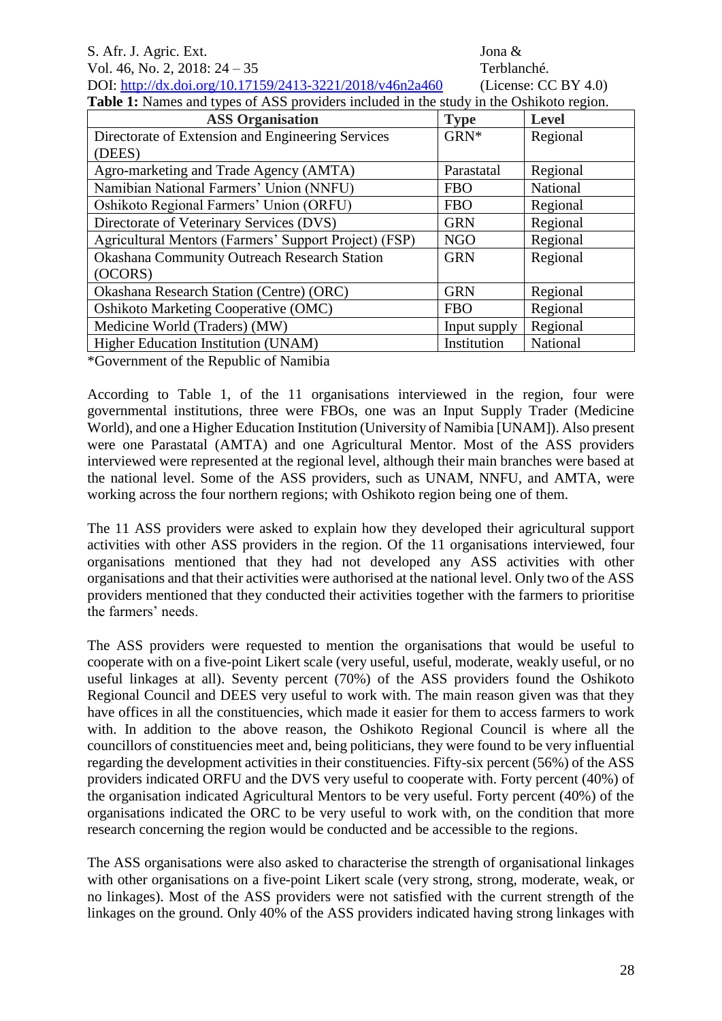#### S. Afr. J. Agric. Ext. Jona & Vol. 46, No. 2, 2018: 24 – 35 Terblanché.

DOI:<http://dx.doi.org/10.17159/2413-3221/2018/v46n2a460> (License: CC BY 4.0) **Table 1:** Names and types of ASS providers included in the study in the Oshikoto region.

| <b>ASS Organisation</b>                               | <b>Type</b>  | <b>Level</b> |
|-------------------------------------------------------|--------------|--------------|
| Directorate of Extension and Engineering Services     | GRN*         | Regional     |
| (DEES)                                                |              |              |
| Agro-marketing and Trade Agency (AMTA)                | Parastatal   | Regional     |
| Namibian National Farmers' Union (NNFU)               | <b>FBO</b>   | National     |
| Oshikoto Regional Farmers' Union (ORFU)               | <b>FBO</b>   | Regional     |
| Directorate of Veterinary Services (DVS)              | <b>GRN</b>   | Regional     |
| Agricultural Mentors (Farmers' Support Project) (FSP) | <b>NGO</b>   | Regional     |
| <b>Okashana Community Outreach Research Station</b>   | <b>GRN</b>   | Regional     |
| (OCORS)                                               |              |              |
| <b>Okashana Research Station (Centre) (ORC)</b>       | <b>GRN</b>   | Regional     |
| Oshikoto Marketing Cooperative (OMC)                  | <b>FBO</b>   | Regional     |
| Medicine World (Traders) (MW)                         | Input supply | Regional     |
| Higher Education Institution (UNAM)                   | Institution  | National     |

\*Government of the Republic of Namibia

According to Table 1, of the 11 organisations interviewed in the region, four were governmental institutions, three were FBOs, one was an Input Supply Trader (Medicine World), and one a Higher Education Institution (University of Namibia [UNAM]). Also present were one Parastatal (AMTA) and one Agricultural Mentor. Most of the ASS providers interviewed were represented at the regional level, although their main branches were based at the national level. Some of the ASS providers, such as UNAM, NNFU, and AMTA, were working across the four northern regions; with Oshikoto region being one of them.

The 11 ASS providers were asked to explain how they developed their agricultural support activities with other ASS providers in the region. Of the 11 organisations interviewed, four organisations mentioned that they had not developed any ASS activities with other organisations and that their activities were authorised at the national level. Only two of the ASS providers mentioned that they conducted their activities together with the farmers to prioritise the farmers' needs.

The ASS providers were requested to mention the organisations that would be useful to cooperate with on a five-point Likert scale (very useful, useful, moderate, weakly useful, or no useful linkages at all). Seventy percent (70%) of the ASS providers found the Oshikoto Regional Council and DEES very useful to work with. The main reason given was that they have offices in all the constituencies, which made it easier for them to access farmers to work with. In addition to the above reason, the Oshikoto Regional Council is where all the councillors of constituencies meet and, being politicians, they were found to be very influential regarding the development activities in their constituencies. Fifty-six percent (56%) of the ASS providers indicated ORFU and the DVS very useful to cooperate with. Forty percent (40%) of the organisation indicated Agricultural Mentors to be very useful. Forty percent (40%) of the organisations indicated the ORC to be very useful to work with, on the condition that more research concerning the region would be conducted and be accessible to the regions.

The ASS organisations were also asked to characterise the strength of organisational linkages with other organisations on a five-point Likert scale (very strong, strong, moderate, weak, or no linkages). Most of the ASS providers were not satisfied with the current strength of the linkages on the ground. Only 40% of the ASS providers indicated having strong linkages with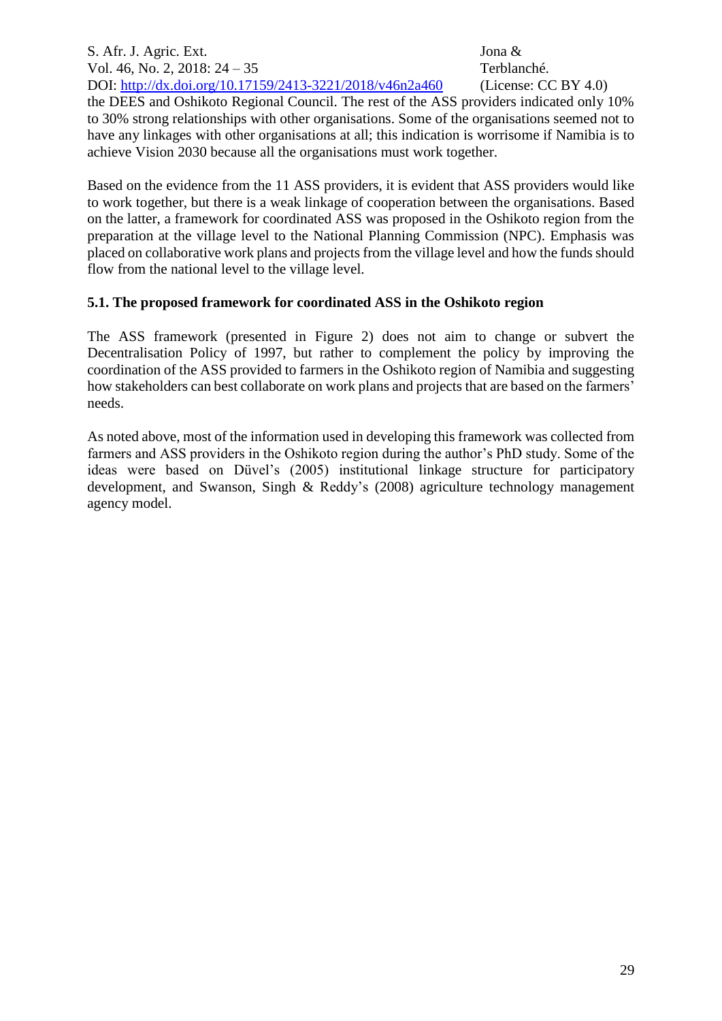S. Afr. J. Agric. Ext. Jona & Vol. 46, No. 2, 2018: 24 – 35 Terblanché. DOI:<http://dx.doi.org/10.17159/2413-3221/2018/v46n2a460> (License: CC BY 4.0)

the DEES and Oshikoto Regional Council. The rest of the ASS providers indicated only 10% to 30% strong relationships with other organisations. Some of the organisations seemed not to have any linkages with other organisations at all; this indication is worrisome if Namibia is to achieve Vision 2030 because all the organisations must work together.

Based on the evidence from the 11 ASS providers, it is evident that ASS providers would like to work together, but there is a weak linkage of cooperation between the organisations. Based on the latter, a framework for coordinated ASS was proposed in the Oshikoto region from the preparation at the village level to the National Planning Commission (NPC). Emphasis was placed on collaborative work plans and projects from the village level and how the funds should flow from the national level to the village level.

### **5.1. The proposed framework for coordinated ASS in the Oshikoto region**

The ASS framework (presented in Figure 2) does not aim to change or subvert the Decentralisation Policy of 1997, but rather to complement the policy by improving the coordination of the ASS provided to farmers in the Oshikoto region of Namibia and suggesting how stakeholders can best collaborate on work plans and projects that are based on the farmers' needs.

As noted above, most of the information used in developing this framework was collected from farmers and ASS providers in the Oshikoto region during the author's PhD study. Some of the ideas were based on Düvel's (2005) institutional linkage structure for participatory development, and Swanson, Singh & Reddy's (2008) agriculture technology management agency model.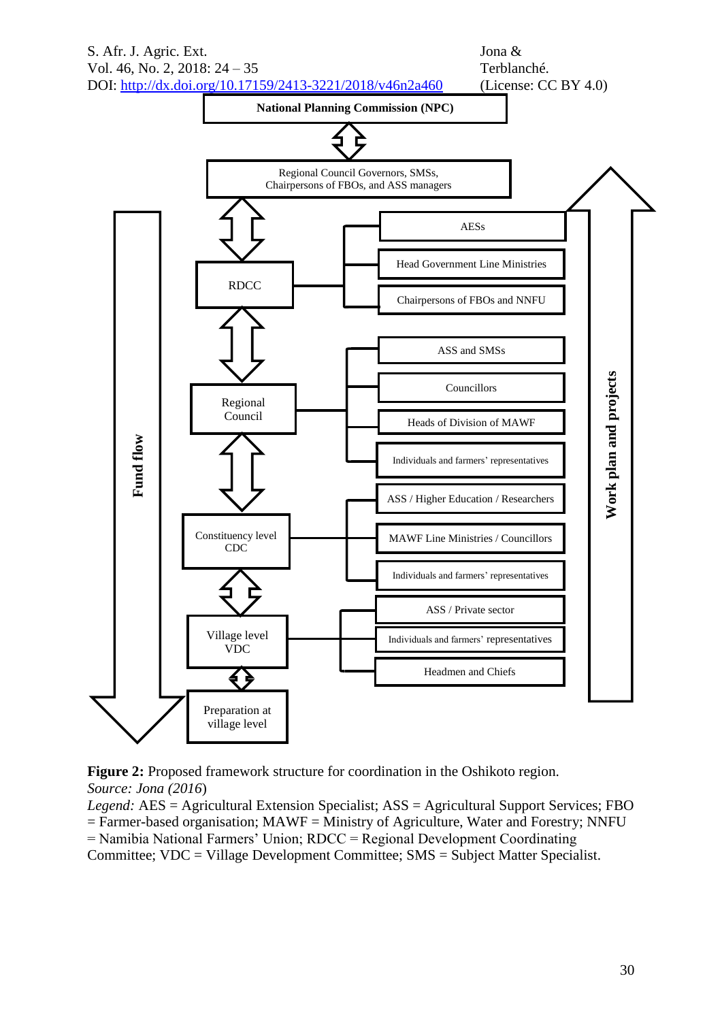

**Figure 2:** Proposed framework structure for coordination in the Oshikoto region. *Source: Jona (2016*)

*Legend:* AES = Agricultural Extension Specialist; ASS = Agricultural Support Services; FBO  $=$  Farmer-based organisation; MAWF  $=$  Ministry of Agriculture, Water and Forestry; NNFU

= Namibia National Farmers' Union; RDCC = Regional Development Coordinating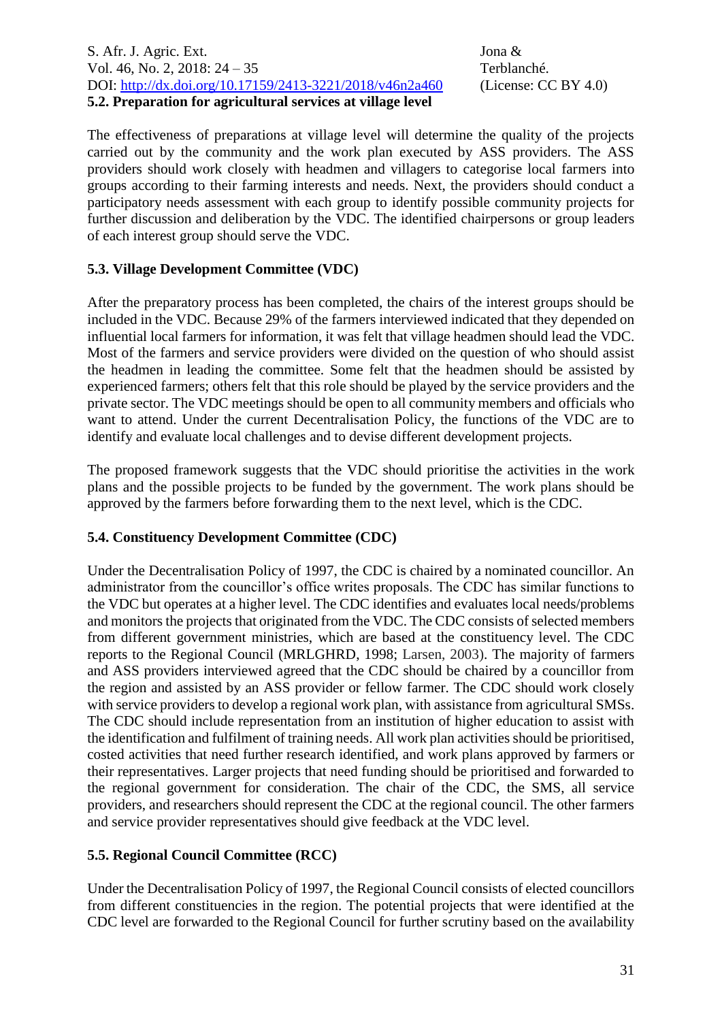S. Afr. J. Agric. Ext. Jona & Vol. 46, No. 2, 2018: 24 – 35 Terblanché. DOI:<http://dx.doi.org/10.17159/2413-3221/2018/v46n2a460> (License: CC BY 4.0) **5.2. Preparation for agricultural services at village level** 

The effectiveness of preparations at village level will determine the quality of the projects carried out by the community and the work plan executed by ASS providers. The ASS providers should work closely with headmen and villagers to categorise local farmers into groups according to their farming interests and needs. Next, the providers should conduct a participatory needs assessment with each group to identify possible community projects for further discussion and deliberation by the VDC. The identified chairpersons or group leaders of each interest group should serve the VDC.

### **5.3. Village Development Committee (VDC)**

After the preparatory process has been completed, the chairs of the interest groups should be included in the VDC. Because 29% of the farmers interviewed indicated that they depended on influential local farmers for information, it was felt that village headmen should lead the VDC. Most of the farmers and service providers were divided on the question of who should assist the headmen in leading the committee. Some felt that the headmen should be assisted by experienced farmers; others felt that this role should be played by the service providers and the private sector. The VDC meetings should be open to all community members and officials who want to attend. Under the current Decentralisation Policy, the functions of the VDC are to identify and evaluate local challenges and to devise different development projects.

The proposed framework suggests that the VDC should prioritise the activities in the work plans and the possible projects to be funded by the government. The work plans should be approved by the farmers before forwarding them to the next level, which is the CDC.

### **5.4. Constituency Development Committee (CDC)**

Under the Decentralisation Policy of 1997, the CDC is chaired by a nominated councillor. An administrator from the councillor's office writes proposals. The CDC has similar functions to the VDC but operates at a higher level. The CDC identifies and evaluates local needs/problems and monitors the projects that originated from the VDC. The CDC consists of selected members from different government ministries, which are based at the constituency level. The CDC reports to the Regional Council (MRLGHRD, 1998; Larsen, 2003). The majority of farmers and ASS providers interviewed agreed that the CDC should be chaired by a councillor from the region and assisted by an ASS provider or fellow farmer. The CDC should work closely with service providers to develop a regional work plan, with assistance from agricultural SMSs. The CDC should include representation from an institution of higher education to assist with the identification and fulfilment of training needs. All work plan activities should be prioritised, costed activities that need further research identified, and work plans approved by farmers or their representatives. Larger projects that need funding should be prioritised and forwarded to the regional government for consideration. The chair of the CDC, the SMS, all service providers, and researchers should represent the CDC at the regional council. The other farmers and service provider representatives should give feedback at the VDC level.

### **5.5. Regional Council Committee (RCC)**

Under the Decentralisation Policy of 1997, the Regional Council consists of elected councillors from different constituencies in the region. The potential projects that were identified at the CDC level are forwarded to the Regional Council for further scrutiny based on the availability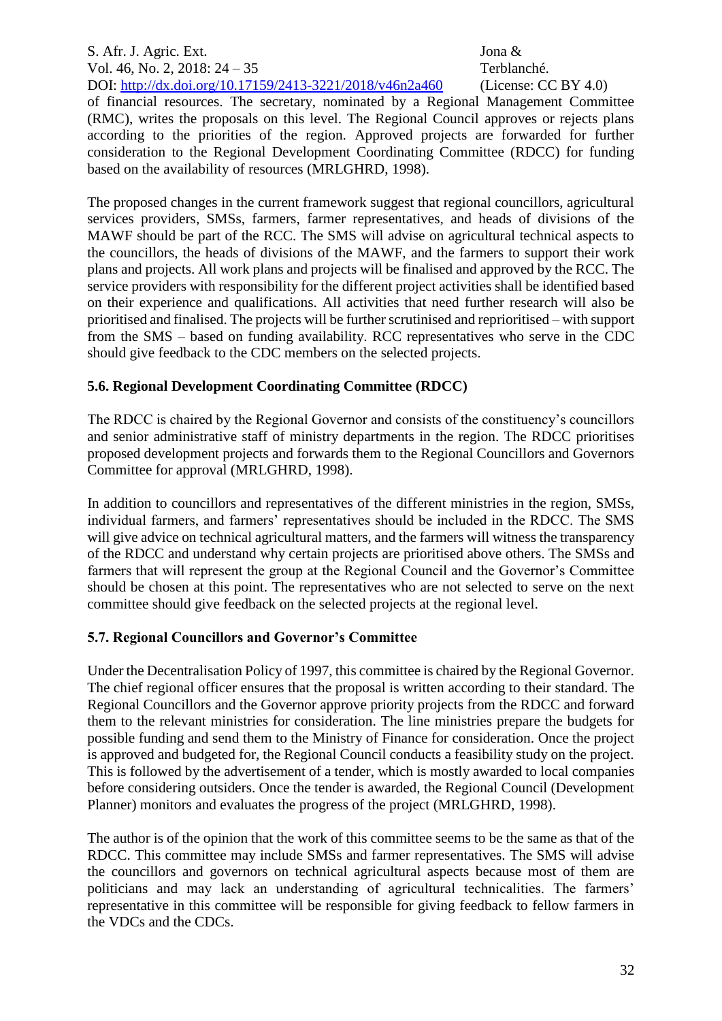S. Afr. J. Agric. Ext. Jona & Vol. 46, No. 2, 2018: 24 – 35 Terblanché. DOI:<http://dx.doi.org/10.17159/2413-3221/2018/v46n2a460> (License: CC BY 4.0)

of financial resources. The secretary, nominated by a Regional Management Committee (RMC), writes the proposals on this level. The Regional Council approves or rejects plans according to the priorities of the region. Approved projects are forwarded for further consideration to the Regional Development Coordinating Committee (RDCC) for funding based on the availability of resources (MRLGHRD, 1998).

The proposed changes in the current framework suggest that regional councillors, agricultural services providers, SMSs, farmers, farmer representatives, and heads of divisions of the MAWF should be part of the RCC. The SMS will advise on agricultural technical aspects to the councillors, the heads of divisions of the MAWF, and the farmers to support their work plans and projects. All work plans and projects will be finalised and approved by the RCC. The service providers with responsibility for the different project activities shall be identified based on their experience and qualifications. All activities that need further research will also be prioritised and finalised. The projects will be further scrutinised and reprioritised – with support from the SMS – based on funding availability. RCC representatives who serve in the CDC should give feedback to the CDC members on the selected projects.

# **5.6. Regional Development Coordinating Committee (RDCC)**

The RDCC is chaired by the Regional Governor and consists of the constituency's councillors and senior administrative staff of ministry departments in the region. The RDCC prioritises proposed development projects and forwards them to the Regional Councillors and Governors Committee for approval (MRLGHRD, 1998).

In addition to councillors and representatives of the different ministries in the region, SMSs, individual farmers, and farmers' representatives should be included in the RDCC. The SMS will give advice on technical agricultural matters, and the farmers will witness the transparency of the RDCC and understand why certain projects are prioritised above others. The SMSs and farmers that will represent the group at the Regional Council and the Governor's Committee should be chosen at this point. The representatives who are not selected to serve on the next committee should give feedback on the selected projects at the regional level.

# **5.7. Regional Councillors and Governor's Committee**

Under the Decentralisation Policy of 1997, this committee is chaired by the Regional Governor. The chief regional officer ensures that the proposal is written according to their standard. The Regional Councillors and the Governor approve priority projects from the RDCC and forward them to the relevant ministries for consideration. The line ministries prepare the budgets for possible funding and send them to the Ministry of Finance for consideration. Once the project is approved and budgeted for, the Regional Council conducts a feasibility study on the project. This is followed by the advertisement of a tender, which is mostly awarded to local companies before considering outsiders. Once the tender is awarded, the Regional Council (Development Planner) monitors and evaluates the progress of the project (MRLGHRD, 1998).

The author is of the opinion that the work of this committee seems to be the same as that of the RDCC. This committee may include SMSs and farmer representatives. The SMS will advise the councillors and governors on technical agricultural aspects because most of them are politicians and may lack an understanding of agricultural technicalities. The farmers' representative in this committee will be responsible for giving feedback to fellow farmers in the VDCs and the CDCs.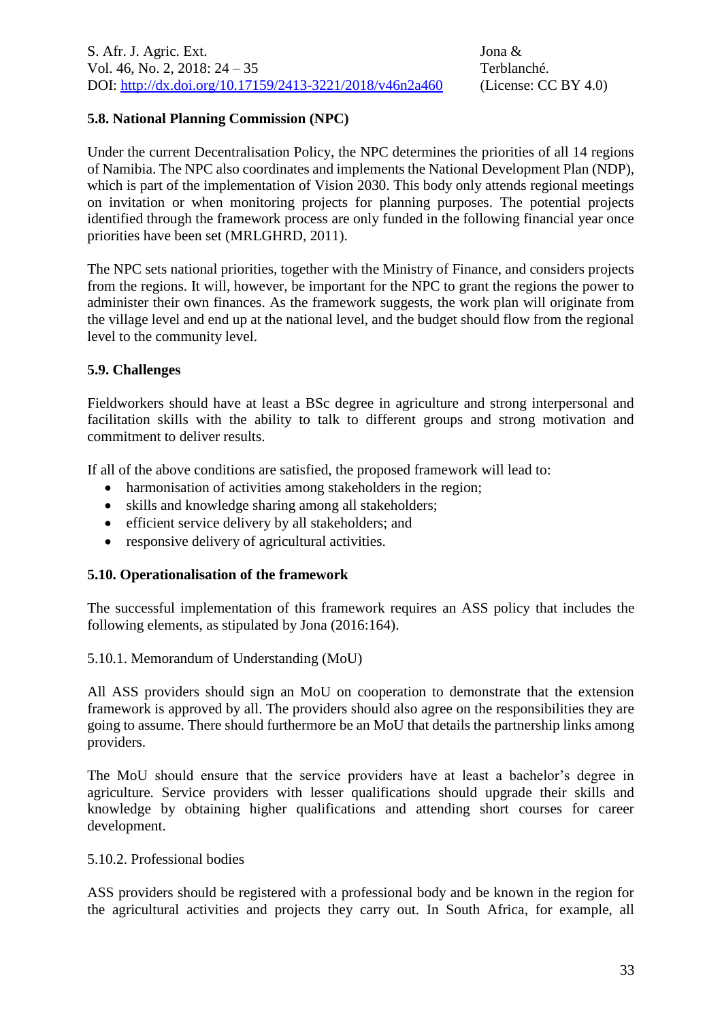### **5.8. National Planning Commission (NPC)**

Under the current Decentralisation Policy, the NPC determines the priorities of all 14 regions of Namibia. The NPC also coordinates and implements the National Development Plan (NDP), which is part of the implementation of Vision 2030. This body only attends regional meetings on invitation or when monitoring projects for planning purposes. The potential projects identified through the framework process are only funded in the following financial year once priorities have been set (MRLGHRD, 2011).

The NPC sets national priorities, together with the Ministry of Finance, and considers projects from the regions. It will, however, be important for the NPC to grant the regions the power to administer their own finances. As the framework suggests, the work plan will originate from the village level and end up at the national level, and the budget should flow from the regional level to the community level.

### **5.9. Challenges**

Fieldworkers should have at least a BSc degree in agriculture and strong interpersonal and facilitation skills with the ability to talk to different groups and strong motivation and commitment to deliver results.

If all of the above conditions are satisfied, the proposed framework will lead to:

- harmonisation of activities among stakeholders in the region;
- skills and knowledge sharing among all stakeholders;
- efficient service delivery by all stakeholders; and
- responsive delivery of agricultural activities.

#### **5.10. Operationalisation of the framework**

The successful implementation of this framework requires an ASS policy that includes the following elements, as stipulated by Jona (2016:164).

5.10.1. Memorandum of Understanding (MoU)

All ASS providers should sign an MoU on cooperation to demonstrate that the extension framework is approved by all. The providers should also agree on the responsibilities they are going to assume. There should furthermore be an MoU that details the partnership links among providers.

The MoU should ensure that the service providers have at least a bachelor's degree in agriculture. Service providers with lesser qualifications should upgrade their skills and knowledge by obtaining higher qualifications and attending short courses for career development.

#### 5.10.2. Professional bodies

ASS providers should be registered with a professional body and be known in the region for the agricultural activities and projects they carry out. In South Africa, for example, all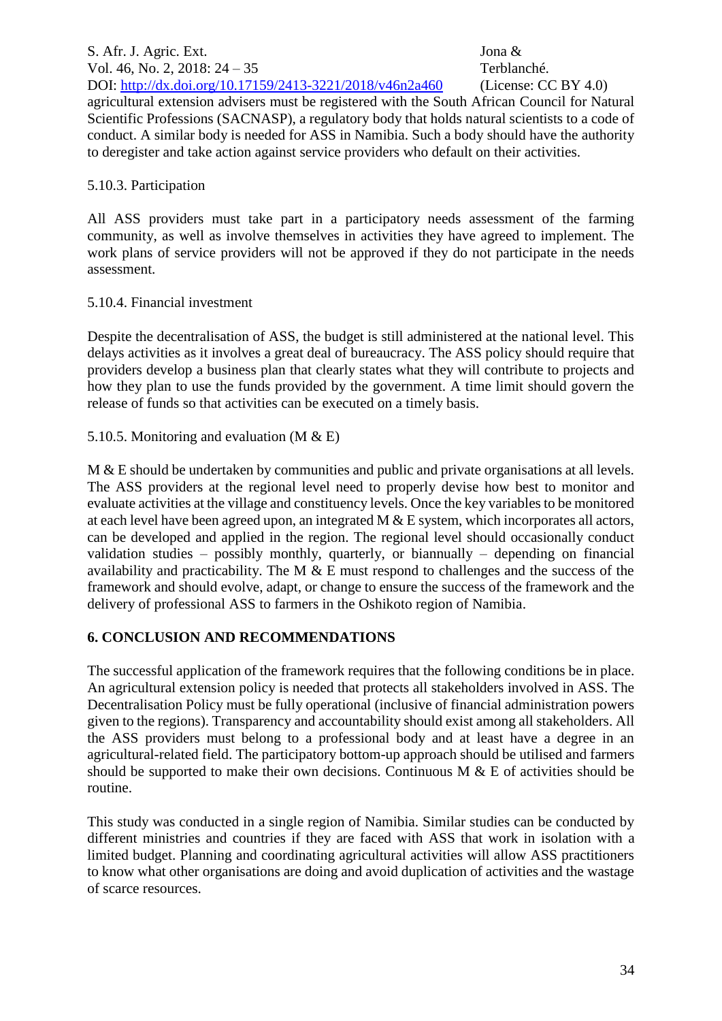S. Afr. J. Agric. Ext. Jona & Vol. 46, No. 2, 2018: 24 – 35 Terblanché. DOI:<http://dx.doi.org/10.17159/2413-3221/2018/v46n2a460> (License: CC BY 4.0) agricultural extension advisers must be registered with the South African Council for Natural Scientific Professions (SACNASP), a regulatory body that holds natural scientists to a code of conduct. A similar body is needed for ASS in Namibia. Such a body should have the authority to deregister and take action against service providers who default on their activities.

#### 5.10.3. Participation

All ASS providers must take part in a participatory needs assessment of the farming community, as well as involve themselves in activities they have agreed to implement. The work plans of service providers will not be approved if they do not participate in the needs assessment.

#### 5.10.4. Financial investment

Despite the decentralisation of ASS, the budget is still administered at the national level. This delays activities as it involves a great deal of bureaucracy. The ASS policy should require that providers develop a business plan that clearly states what they will contribute to projects and how they plan to use the funds provided by the government. A time limit should govern the release of funds so that activities can be executed on a timely basis.

5.10.5. Monitoring and evaluation (M & E)

M & E should be undertaken by communities and public and private organisations at all levels. The ASS providers at the regional level need to properly devise how best to monitor and evaluate activities at the village and constituency levels. Once the key variables to be monitored at each level have been agreed upon, an integrated M & E system, which incorporates all actors, can be developed and applied in the region. The regional level should occasionally conduct validation studies – possibly monthly, quarterly, or biannually – depending on financial availability and practicability. The M  $&$  E must respond to challenges and the success of the framework and should evolve, adapt, or change to ensure the success of the framework and the delivery of professional ASS to farmers in the Oshikoto region of Namibia.

# **6. CONCLUSION AND RECOMMENDATIONS**

The successful application of the framework requires that the following conditions be in place. An agricultural extension policy is needed that protects all stakeholders involved in ASS. The Decentralisation Policy must be fully operational (inclusive of financial administration powers given to the regions). Transparency and accountability should exist among all stakeholders. All the ASS providers must belong to a professional body and at least have a degree in an agricultural-related field. The participatory bottom-up approach should be utilised and farmers should be supported to make their own decisions. Continuous  $M \& E$  of activities should be routine.

This study was conducted in a single region of Namibia. Similar studies can be conducted by different ministries and countries if they are faced with ASS that work in isolation with a limited budget. Planning and coordinating agricultural activities will allow ASS practitioners to know what other organisations are doing and avoid duplication of activities and the wastage of scarce resources.